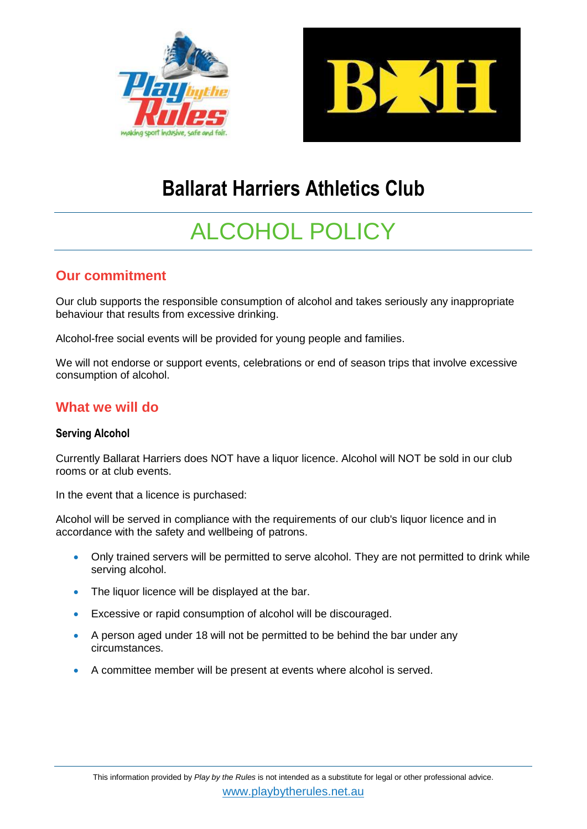



## **Ballarat Harriers Athletics Club**

# ALCOHOL POLICY

## **Our commitment**

Our club supports the responsible consumption of alcohol and takes seriously any inappropriate behaviour that results from excessive drinking.

Alcohol-free social events will be provided for young people and families.

We will not endorse or support events, celebrations or end of season trips that involve excessive consumption of alcohol.

## **What we will do**

#### **Serving Alcohol**

Currently Ballarat Harriers does NOT have a liquor licence. Alcohol will NOT be sold in our club rooms or at club events.

In the event that a licence is purchased:

Alcohol will be served in compliance with the requirements of our club's liquor licence and in accordance with the safety and wellbeing of patrons.

- Only trained servers will be permitted to serve alcohol. They are not permitted to drink while serving alcohol.
- The liquor licence will be displayed at the bar.
- Excessive or rapid consumption of alcohol will be discouraged.
- A person aged under 18 will not be permitted to be behind the bar under any circumstances.
- A committee member will be present at events where alcohol is served.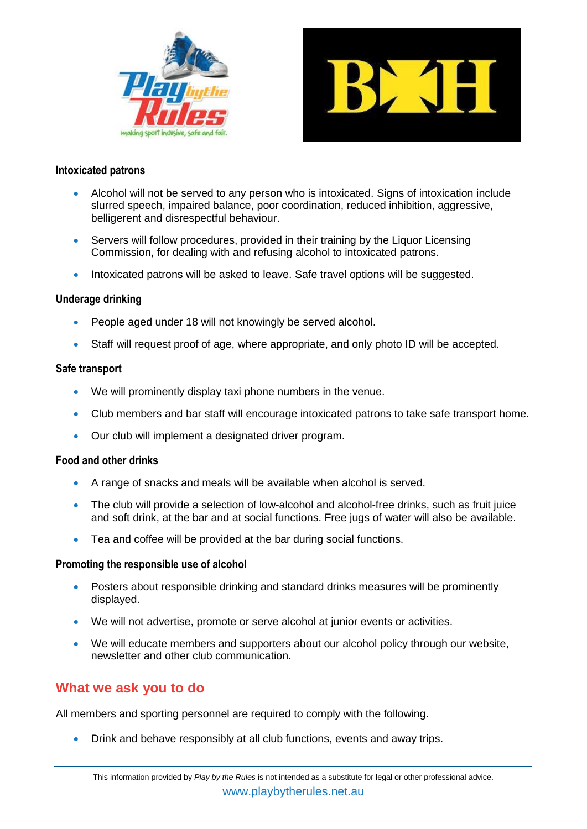



#### **Intoxicated patrons**

- Alcohol will not be served to any person who is intoxicated. Signs of intoxication include slurred speech, impaired balance, poor coordination, reduced inhibition, aggressive, belligerent and disrespectful behaviour.
- Servers will follow procedures, provided in their training by the Liquor Licensing Commission, for dealing with and refusing alcohol to intoxicated patrons.
- Intoxicated patrons will be asked to leave. Safe travel options will be suggested.

#### **Underage drinking**

- People aged under 18 will not knowingly be served alcohol.
- Staff will request proof of age, where appropriate, and only photo ID will be accepted.

#### **Safe transport**

- We will prominently display taxi phone numbers in the venue.
- Club members and bar staff will encourage intoxicated patrons to take safe transport home.
- Our club will implement a designated driver program.

#### **Food and other drinks**

- A range of snacks and meals will be available when alcohol is served.
- The club will provide a selection of low-alcohol and alcohol-free drinks, such as fruit juice and soft drink, at the bar and at social functions. Free jugs of water will also be available.
- Tea and coffee will be provided at the bar during social functions.

#### **Promoting the responsible use of alcohol**

- Posters about responsible drinking and standard drinks measures will be prominently displayed.
- We will not advertise, promote or serve alcohol at junior events or activities.
- We will educate members and supporters about our alcohol policy through our website, newsletter and other club communication.

### **What we ask you to do**

All members and sporting personnel are required to comply with the following.

Drink and behave responsibly at all club functions, events and away trips.